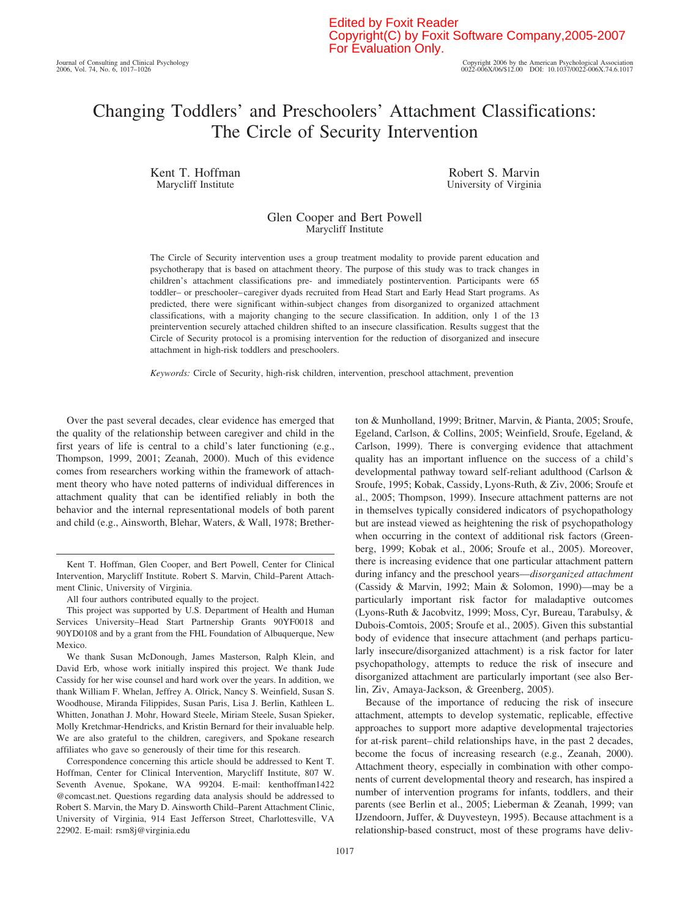Journal of Consulting and Clinical Psychology Copyright 2006 by the American Psychological Association 2006, Vol. 74, No. 6, 1017–1026 0022-006X/06/\$12.00 DOI: 10.1037/0022-006X.74.6.1017

# Changing Toddlers' and Preschoolers' Attachment Classifications: The Circle of Security Intervention

Kent T. Hoffman Marycliff Institute

Robert S. Marvin University of Virginia

# Glen Cooper and Bert Powell Marycliff Institute

The Circle of Security intervention uses a group treatment modality to provide parent education and psychotherapy that is based on attachment theory. The purpose of this study was to track changes in children's attachment classifications pre- and immediately postintervention. Participants were 65 toddler– or preschooler– caregiver dyads recruited from Head Start and Early Head Start programs. As predicted, there were significant within-subject changes from disorganized to organized attachment classifications, with a majority changing to the secure classification. In addition, only 1 of the 13 preintervention securely attached children shifted to an insecure classification. Results suggest that the Circle of Security protocol is a promising intervention for the reduction of disorganized and insecure attachment in high-risk toddlers and preschoolers.

*Keywords:* Circle of Security, high-risk children, intervention, preschool attachment, prevention

Over the past several decades, clear evidence has emerged that the quality of the relationship between caregiver and child in the first years of life is central to a child's later functioning (e.g., Thompson, 1999, 2001; Zeanah, 2000). Much of this evidence comes from researchers working within the framework of attachment theory who have noted patterns of individual differences in attachment quality that can be identified reliably in both the behavior and the internal representational models of both parent and child (e.g., Ainsworth, Blehar, Waters, & Wall, 1978; Bretherton & Munholland, 1999; Britner, Marvin, & Pianta, 2005; Sroufe, Egeland, Carlson, & Collins, 2005; Weinfield, Sroufe, Egeland, & Carlson, 1999). There is converging evidence that attachment quality has an important influence on the success of a child's developmental pathway toward self-reliant adulthood (Carlson & Sroufe, 1995; Kobak, Cassidy, Lyons-Ruth, & Ziv, 2006; Sroufe et al., 2005; Thompson, 1999). Insecure attachment patterns are not in themselves typically considered indicators of psychopathology but are instead viewed as heightening the risk of psychopathology when occurring in the context of additional risk factors (Greenberg, 1999; Kobak et al., 2006; Sroufe et al., 2005). Moreover, there is increasing evidence that one particular attachment pattern during infancy and the preschool years—*disorganized attachment* (Cassidy & Marvin, 1992; Main & Solomon, 1990)—may be a particularly important risk factor for maladaptive outcomes (Lyons-Ruth & Jacobvitz, 1999; Moss, Cyr, Bureau, Tarabulsy, & Dubois-Comtois, 2005; Sroufe et al., 2005). Given this substantial body of evidence that insecure attachment (and perhaps particularly insecure/disorganized attachment) is a risk factor for later psychopathology, attempts to reduce the risk of insecure and disorganized attachment are particularly important (see also Berlin, Ziv, Amaya-Jackson, & Greenberg, 2005).

Because of the importance of reducing the risk of insecure attachment, attempts to develop systematic, replicable, effective approaches to support more adaptive developmental trajectories for at-risk parent– child relationships have, in the past 2 decades, become the focus of increasing research (e.g., Zeanah, 2000). Attachment theory, especially in combination with other components of current developmental theory and research, has inspired a number of intervention programs for infants, toddlers, and their parents (see Berlin et al., 2005; Lieberman & Zeanah, 1999; van IJzendoorn, Juffer, & Duyvesteyn, 1995). Because attachment is a relationship-based construct, most of these programs have deliv-

Kent T. Hoffman, Glen Cooper, and Bert Powell, Center for Clinical Intervention, Marycliff Institute. Robert S. Marvin, Child–Parent Attachment Clinic, University of Virginia.

All four authors contributed equally to the project.

This project was supported by U.S. Department of Health and Human Services University–Head Start Partnership Grants 90YF0018 and 90YD0108 and by a grant from the FHL Foundation of Albuquerque, New Mexico.

We thank Susan McDonough, James Masterson, Ralph Klein, and David Erb, whose work initially inspired this project. We thank Jude Cassidy for her wise counsel and hard work over the years. In addition, we thank William F. Whelan, Jeffrey A. Olrick, Nancy S. Weinfield, Susan S. Woodhouse, Miranda Filippides, Susan Paris, Lisa J. Berlin, Kathleen L. Whitten, Jonathan J. Mohr, Howard Steele, Miriam Steele, Susan Spieker, Molly Kretchmar-Hendricks, and Kristin Bernard for their invaluable help. We are also grateful to the children, caregivers, and Spokane research affiliates who gave so generously of their time for this research.

Correspondence concerning this article should be addressed to Kent T. Hoffman, Center for Clinical Intervention, Marycliff Institute, 807 W. Seventh Avenue, Spokane, WA 99204. E-mail: kenthoffman1422 @comcast.net. Questions regarding data analysis should be addressed to Robert S. Marvin, the Mary D. Ainsworth Child–Parent Attachment Clinic, University of Virginia, 914 East Jefferson Street, Charlottesville, VA 22902. E-mail: rsm8j@virginia.edu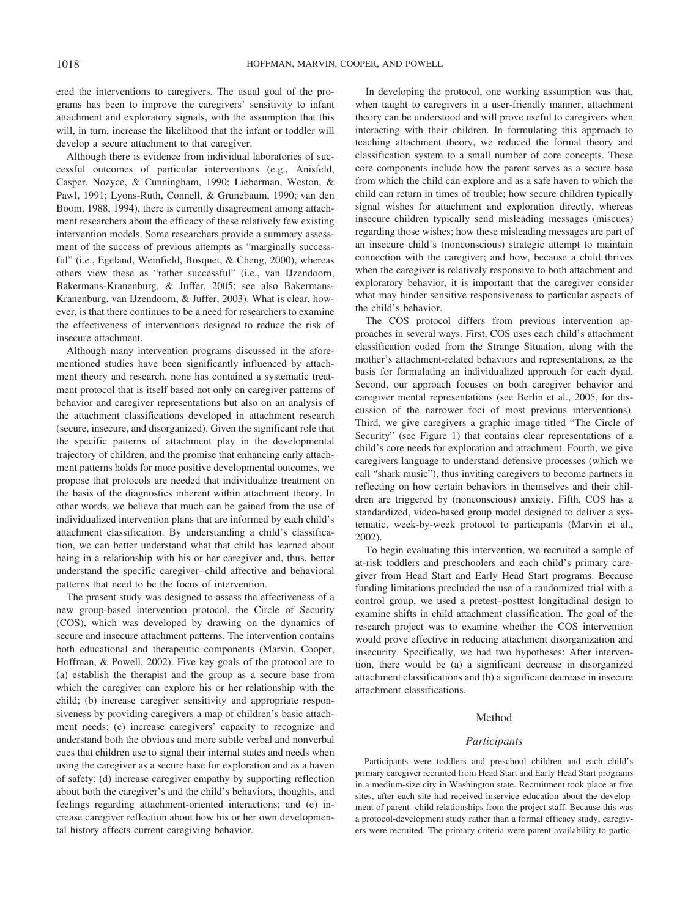ered the interventions to caregivers. The usual goal of the programs has been to improve the caregivers' sensitivity to infant attachment and exploratory signals, with the assumption that this will, in turn, increase the likelihood that the infant or toddler will develop a secure attachment to that caregiver.

Although there is evidence from individual laboratories of successful outcomes of particular interventions (e.g., Anisfeld, Casper, Nozyce, & Cunningham, 1990; Lieberman, Weston, & Pawl, 1991; Lyons-Ruth, Connell, & Grunebaum, 1990; van den Boom, 1988, 1994), there is currently disagreement among attachment researchers about the efficacy of these relatively few existing intervention models. Some researchers provide a summary assessment of the success of previous attempts as "marginally successful" (i.e., Egeland, Weinfield, Bosquet, & Cheng, 2000), whereas others view these as "rather successful" (i.e., van IJzendoorn, Bakermans-Kranenburg, & Juffer, 2005; see also Bakermans-Kranenburg, van IJzendoorn, & Juffer, 2003). What is clear, however, is that there continues to be a need for researchers to examine the effectiveness of interventions designed to reduce the risk of insecure attachment.

Although many intervention programs discussed in the aforementioned studies have been significantly influenced by attachment theory and research, none has contained a systematic treatment protocol that is itself based not only on caregiver patterns of behavior and caregiver representations but also on an analysis of the attachment classifications developed in attachment research (secure, insecure, and disorganized). Given the significant role that the specific patterns of attachment play in the developmental trajectory of children, and the promise that enhancing early attachment patterns holds for more positive developmental outcomes, we propose that protocols are needed that individualize treatment on the basis of the diagnostics inherent within attachment theory. In other words, we believe that much can be gained from the use of individualized intervention plans that are informed by each child's attachment classification. By understanding a child's classification, we can better understand what that child has learned about being in a relationship with his or her caregiver and, thus, better understand the specific caregiver– child affective and behavioral patterns that need to be the focus of intervention.

The present study was designed to assess the effectiveness of a new group-based intervention protocol, the Circle of Security (COS), which was developed by drawing on the dynamics of secure and insecure attachment patterns. The intervention contains both educational and therapeutic components (Marvin, Cooper, Hoffman, & Powell, 2002). Five key goals of the protocol are to (a) establish the therapist and the group as a secure base from which the caregiver can explore his or her relationship with the child; (b) increase caregiver sensitivity and appropriate responsiveness by providing caregivers a map of children's basic attachment needs; (c) increase caregivers' capacity to recognize and understand both the obvious and more subtle verbal and nonverbal cues that children use to signal their internal states and needs when using the caregiver as a secure base for exploration and as a haven of safety; (d) increase caregiver empathy by supporting reflection about both the caregiver's and the child's behaviors, thoughts, and feelings regarding attachment-oriented interactions; and (e) increase caregiver reflection about how his or her own developmental history affects current caregiving behavior.

In developing the protocol, one working assumption was that, when taught to caregivers in a user-friendly manner, attachment theory can be understood and will prove useful to caregivers when interacting with their children. In formulating this approach to teaching attachment theory, we reduced the formal theory and classification system to a small number of core concepts. These core components include how the parent serves as a secure base from which the child can explore and as a safe haven to which the child can return in times of trouble; how secure children typically signal wishes for attachment and exploration directly, whereas insecure children typically send misleading messages (miscues) regarding those wishes; how these misleading messages are part of an insecure child's (nonconscious) strategic attempt to maintain connection with the caregiver; and how, because a child thrives when the caregiver is relatively responsive to both attachment and exploratory behavior, it is important that the caregiver consider what may hinder sensitive responsiveness to particular aspects of the child's behavior.

The COS protocol differs from previous intervention approaches in several ways. First, COS uses each child's attachment classification coded from the Strange Situation, along with the mother's attachment-related behaviors and representations, as the basis for formulating an individualized approach for each dyad. Second, our approach focuses on both caregiver behavior and caregiver mental representations (see Berlin et al., 2005, for discussion of the narrower foci of most previous interventions). Third, we give caregivers a graphic image titled "The Circle of Security" (see Figure 1) that contains clear representations of a child's core needs for exploration and attachment. Fourth, we give caregivers language to understand defensive processes (which we call "shark music"), thus inviting caregivers to become partners in reflecting on how certain behaviors in themselves and their children are triggered by (nonconscious) anxiety. Fifth, COS has a standardized, video-based group model designed to deliver a systematic, week-by-week protocol to participants (Marvin et al., 2002).

To begin evaluating this intervention, we recruited a sample of at-risk toddlers and preschoolers and each child's primary caregiver from Head Start and Early Head Start programs. Because funding limitations precluded the use of a randomized trial with a control group, we used a pretest–posttest longitudinal design to examine shifts in child attachment classification. The goal of the research project was to examine whether the COS intervention would prove effective in reducing attachment disorganization and insecurity. Specifically, we had two hypotheses: After intervention, there would be (a) a significant decrease in disorganized attachment classifications and (b) a significant decrease in insecure attachment classifications.

# Method

#### *Participants*

Participants were toddlers and preschool children and each child's primary caregiver recruited from Head Start and Early Head Start programs in a medium-size city in Washington state. Recruitment took place at five sites, after each site had received inservice education about the development of parent– child relationships from the project staff. Because this was a protocol-development study rather than a formal efficacy study, caregivers were recruited. The primary criteria were parent availability to partic-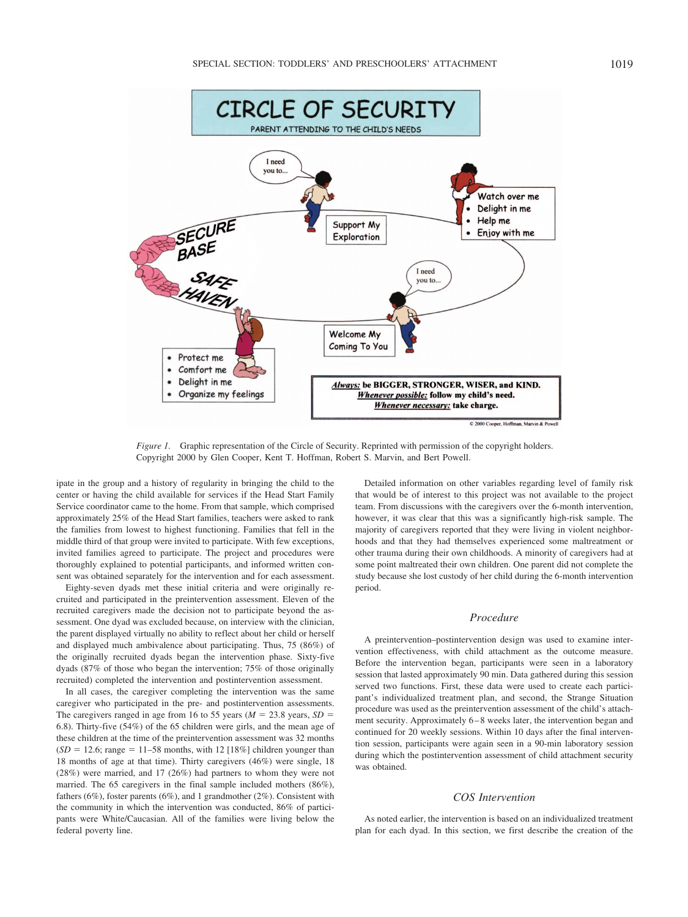

*Figure 1.* Graphic representation of the Circle of Security. Reprinted with permission of the copyright holders. Copyright 2000 by Glen Cooper, Kent T. Hoffman, Robert S. Marvin, and Bert Powell.

ipate in the group and a history of regularity in bringing the child to the center or having the child available for services if the Head Start Family Service coordinator came to the home. From that sample, which comprised approximately 25% of the Head Start families, teachers were asked to rank the families from lowest to highest functioning. Families that fell in the middle third of that group were invited to participate. With few exceptions, invited families agreed to participate. The project and procedures were thoroughly explained to potential participants, and informed written consent was obtained separately for the intervention and for each assessment.

Eighty-seven dyads met these initial criteria and were originally recruited and participated in the preintervention assessment. Eleven of the recruited caregivers made the decision not to participate beyond the assessment. One dyad was excluded because, on interview with the clinician, the parent displayed virtually no ability to reflect about her child or herself and displayed much ambivalence about participating. Thus, 75 (86%) of the originally recruited dyads began the intervention phase. Sixty-five dyads (87% of those who began the intervention; 75% of those originally recruited) completed the intervention and postintervention assessment.

In all cases, the caregiver completing the intervention was the same caregiver who participated in the pre- and postintervention assessments. The caregivers ranged in age from 16 to 55 years ( $M = 23.8$  years,  $SD =$ 6.8). Thirty-five (54%) of the 65 children were girls, and the mean age of these children at the time of the preintervention assessment was 32 months  $(SD = 12.6; \text{range} = 11-58 \text{ months}, \text{with } 12 \text{ [18%] children younger than}$ 18 months of age at that time). Thirty caregivers (46%) were single, 18 (28%) were married, and 17 (26%) had partners to whom they were not married. The 65 caregivers in the final sample included mothers (86%), fathers (6%), foster parents (6%), and 1 grandmother (2%). Consistent with the community in which the intervention was conducted, 86% of participants were White/Caucasian. All of the families were living below the federal poverty line.

Detailed information on other variables regarding level of family risk that would be of interest to this project was not available to the project team. From discussions with the caregivers over the 6-month intervention, however, it was clear that this was a significantly high-risk sample. The majority of caregivers reported that they were living in violent neighborhoods and that they had themselves experienced some maltreatment or other trauma during their own childhoods. A minority of caregivers had at some point maltreated their own children. One parent did not complete the study because she lost custody of her child during the 6-month intervention period.

# *Procedure*

A preintervention–postintervention design was used to examine intervention effectiveness, with child attachment as the outcome measure. Before the intervention began, participants were seen in a laboratory session that lasted approximately 90 min. Data gathered during this session served two functions. First, these data were used to create each participant's individualized treatment plan, and second, the Strange Situation procedure was used as the preintervention assessment of the child's attachment security. Approximately 6–8 weeks later, the intervention began and continued for 20 weekly sessions. Within 10 days after the final intervention session, participants were again seen in a 90-min laboratory session during which the postintervention assessment of child attachment security was obtained.

## *COS Intervention*

As noted earlier, the intervention is based on an individualized treatment plan for each dyad. In this section, we first describe the creation of the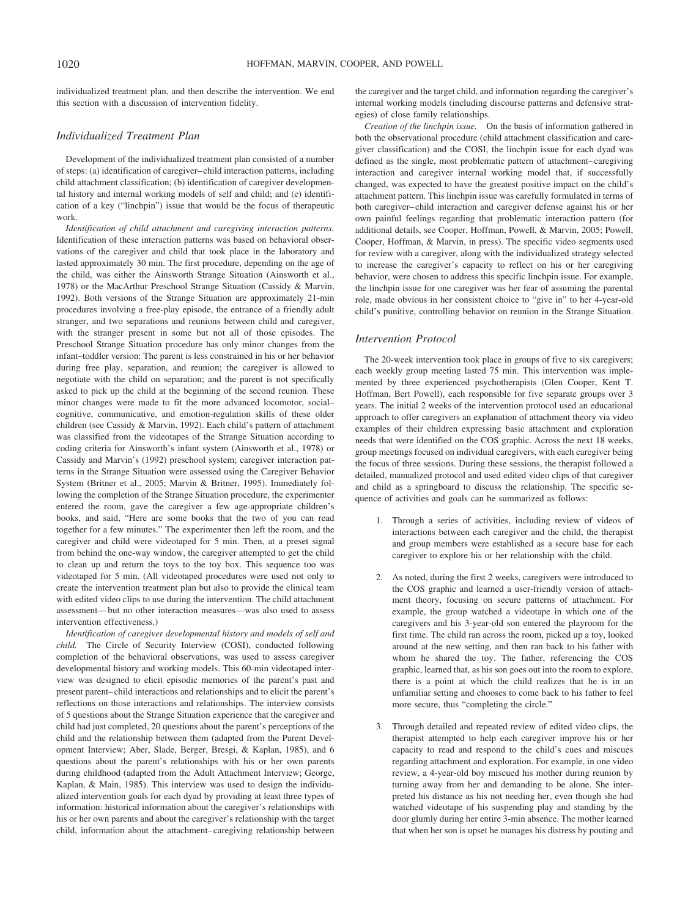individualized treatment plan, and then describe the intervention. We end this section with a discussion of intervention fidelity.

# *Individualized Treatment Plan*

Development of the individualized treatment plan consisted of a number of steps: (a) identification of caregiver– child interaction patterns, including child attachment classification; (b) identification of caregiver developmental history and internal working models of self and child; and (c) identification of a key ("linchpin") issue that would be the focus of therapeutic work.

*Identification of child attachment and caregiving interaction patterns.* Identification of these interaction patterns was based on behavioral observations of the caregiver and child that took place in the laboratory and lasted approximately 30 min. The first procedure, depending on the age of the child, was either the Ainsworth Strange Situation (Ainsworth et al., 1978) or the MacArthur Preschool Strange Situation (Cassidy & Marvin, 1992). Both versions of the Strange Situation are approximately 21-min procedures involving a free-play episode, the entrance of a friendly adult stranger, and two separations and reunions between child and caregiver, with the stranger present in some but not all of those episodes. The Preschool Strange Situation procedure has only minor changes from the infant–toddler version: The parent is less constrained in his or her behavior during free play, separation, and reunion; the caregiver is allowed to negotiate with the child on separation; and the parent is not specifically asked to pick up the child at the beginning of the second reunion. These minor changes were made to fit the more advanced locomotor, social– cognitive, communicative, and emotion-regulation skills of these older children (see Cassidy & Marvin, 1992). Each child's pattern of attachment was classified from the videotapes of the Strange Situation according to coding criteria for Ainsworth's infant system (Ainsworth et al., 1978) or Cassidy and Marvin's (1992) preschool system; caregiver interaction patterns in the Strange Situation were assessed using the Caregiver Behavior System (Britner et al., 2005; Marvin & Britner, 1995). Immediately following the completion of the Strange Situation procedure, the experimenter entered the room, gave the caregiver a few age-appropriate children's books, and said, "Here are some books that the two of you can read together for a few minutes." The experimenter then left the room, and the caregiver and child were videotaped for 5 min. Then, at a preset signal from behind the one-way window, the caregiver attempted to get the child to clean up and return the toys to the toy box. This sequence too was videotaped for 5 min. (All videotaped procedures were used not only to create the intervention treatment plan but also to provide the clinical team with edited video clips to use during the intervention. The child attachment assessment— but no other interaction measures—was also used to assess intervention effectiveness.)

*Identification of caregiver developmental history and models of self and child.* The Circle of Security Interview (COSI), conducted following completion of the behavioral observations, was used to assess caregiver developmental history and working models. This 60-min videotaped interview was designed to elicit episodic memories of the parent's past and present parent– child interactions and relationships and to elicit the parent's reflections on those interactions and relationships. The interview consists of 5 questions about the Strange Situation experience that the caregiver and child had just completed, 20 questions about the parent's perceptions of the child and the relationship between them (adapted from the Parent Development Interview; Aber, Slade, Berger, Bresgi, & Kaplan, 1985), and 6 questions about the parent's relationships with his or her own parents during childhood (adapted from the Adult Attachment Interview; George, Kaplan, & Main, 1985). This interview was used to design the individualized intervention goals for each dyad by providing at least three types of information: historical information about the caregiver's relationships with his or her own parents and about the caregiver's relationship with the target child, information about the attachment– caregiving relationship between

the caregiver and the target child, and information regarding the caregiver's internal working models (including discourse patterns and defensive strategies) of close family relationships.

*Creation of the linchpin issue.* On the basis of information gathered in both the observational procedure (child attachment classification and caregiver classification) and the COSI, the linchpin issue for each dyad was defined as the single, most problematic pattern of attachment– caregiving interaction and caregiver internal working model that, if successfully changed, was expected to have the greatest positive impact on the child's attachment pattern. This linchpin issue was carefully formulated in terms of both caregiver– child interaction and caregiver defense against his or her own painful feelings regarding that problematic interaction pattern (for additional details, see Cooper, Hoffman, Powell, & Marvin, 2005; Powell, Cooper, Hoffman, & Marvin, in press). The specific video segments used for review with a caregiver, along with the individualized strategy selected to increase the caregiver's capacity to reflect on his or her caregiving behavior, were chosen to address this specific linchpin issue. For example, the linchpin issue for one caregiver was her fear of assuming the parental role, made obvious in her consistent choice to "give in" to her 4-year-old child's punitive, controlling behavior on reunion in the Strange Situation.

## *Intervention Protocol*

The 20-week intervention took place in groups of five to six caregivers; each weekly group meeting lasted 75 min. This intervention was implemented by three experienced psychotherapists (Glen Cooper, Kent T. Hoffman, Bert Powell), each responsible for five separate groups over 3 years. The initial 2 weeks of the intervention protocol used an educational approach to offer caregivers an explanation of attachment theory via video examples of their children expressing basic attachment and exploration needs that were identified on the COS graphic. Across the next 18 weeks, group meetings focused on individual caregivers, with each caregiver being the focus of three sessions. During these sessions, the therapist followed a detailed, manualized protocol and used edited video clips of that caregiver and child as a springboard to discuss the relationship. The specific sequence of activities and goals can be summarized as follows:

- 1. Through a series of activities, including review of videos of interactions between each caregiver and the child, the therapist and group members were established as a secure base for each caregiver to explore his or her relationship with the child.
- 2. As noted, during the first 2 weeks, caregivers were introduced to the COS graphic and learned a user-friendly version of attachment theory, focusing on secure patterns of attachment. For example, the group watched a videotape in which one of the caregivers and his 3-year-old son entered the playroom for the first time. The child ran across the room, picked up a toy, looked around at the new setting, and then ran back to his father with whom he shared the toy. The father, referencing the COS graphic, learned that, as his son goes out into the room to explore, there is a point at which the child realizes that he is in an unfamiliar setting and chooses to come back to his father to feel more secure, thus "completing the circle."
- 3. Through detailed and repeated review of edited video clips, the therapist attempted to help each caregiver improve his or her capacity to read and respond to the child's cues and miscues regarding attachment and exploration. For example, in one video review, a 4-year-old boy miscued his mother during reunion by turning away from her and demanding to be alone. She interpreted his distance as his not needing her, even though she had watched videotape of his suspending play and standing by the door glumly during her entire 3-min absence. The mother learned that when her son is upset he manages his distress by pouting and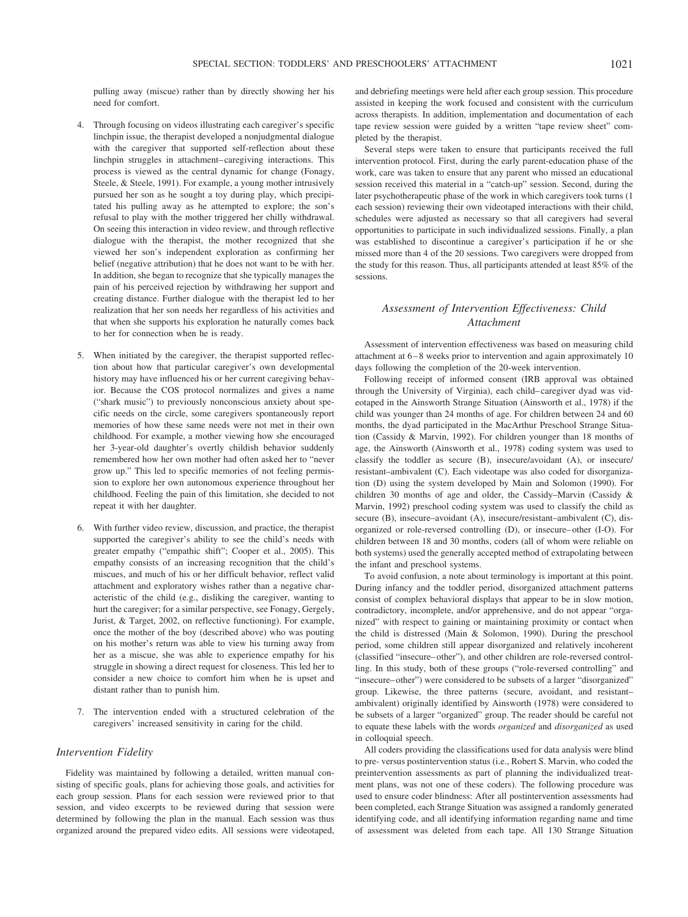pulling away (miscue) rather than by directly showing her his need for comfort.

- 4. Through focusing on videos illustrating each caregiver's specific linchpin issue, the therapist developed a nonjudgmental dialogue with the caregiver that supported self-reflection about these linchpin struggles in attachment– caregiving interactions. This process is viewed as the central dynamic for change (Fonagy, Steele, & Steele, 1991). For example, a young mother intrusively pursued her son as he sought a toy during play, which precipitated his pulling away as he attempted to explore; the son's refusal to play with the mother triggered her chilly withdrawal. On seeing this interaction in video review, and through reflective dialogue with the therapist, the mother recognized that she viewed her son's independent exploration as confirming her belief (negative attribution) that he does not want to be with her. In addition, she began to recognize that she typically manages the pain of his perceived rejection by withdrawing her support and creating distance. Further dialogue with the therapist led to her realization that her son needs her regardless of his activities and that when she supports his exploration he naturally comes back to her for connection when he is ready.
- 5. When initiated by the caregiver, the therapist supported reflection about how that particular caregiver's own developmental history may have influenced his or her current caregiving behavior. Because the COS protocol normalizes and gives a name ("shark music") to previously nonconscious anxiety about specific needs on the circle, some caregivers spontaneously report memories of how these same needs were not met in their own childhood. For example, a mother viewing how she encouraged her 3-year-old daughter's overtly childish behavior suddenly remembered how her own mother had often asked her to "never grow up." This led to specific memories of not feeling permission to explore her own autonomous experience throughout her childhood. Feeling the pain of this limitation, she decided to not repeat it with her daughter.
- 6. With further video review, discussion, and practice, the therapist supported the caregiver's ability to see the child's needs with greater empathy ("empathic shift"; Cooper et al., 2005). This empathy consists of an increasing recognition that the child's miscues, and much of his or her difficult behavior, reflect valid attachment and exploratory wishes rather than a negative characteristic of the child (e.g., disliking the caregiver, wanting to hurt the caregiver; for a similar perspective, see Fonagy, Gergely, Jurist, & Target, 2002, on reflective functioning). For example, once the mother of the boy (described above) who was pouting on his mother's return was able to view his turning away from her as a miscue, she was able to experience empathy for his struggle in showing a direct request for closeness. This led her to consider a new choice to comfort him when he is upset and distant rather than to punish him.
- 7. The intervention ended with a structured celebration of the caregivers' increased sensitivity in caring for the child.

# *Intervention Fidelity*

Fidelity was maintained by following a detailed, written manual consisting of specific goals, plans for achieving those goals, and activities for each group session. Plans for each session were reviewed prior to that session, and video excerpts to be reviewed during that session were determined by following the plan in the manual. Each session was thus organized around the prepared video edits. All sessions were videotaped,

and debriefing meetings were held after each group session. This procedure assisted in keeping the work focused and consistent with the curriculum across therapists. In addition, implementation and documentation of each tape review session were guided by a written "tape review sheet" completed by the therapist.

Several steps were taken to ensure that participants received the full intervention protocol. First, during the early parent-education phase of the work, care was taken to ensure that any parent who missed an educational session received this material in a "catch-up" session. Second, during the later psychotherapeutic phase of the work in which caregivers took turns (1 each session) reviewing their own videotaped interactions with their child, schedules were adjusted as necessary so that all caregivers had several opportunities to participate in such individualized sessions. Finally, a plan was established to discontinue a caregiver's participation if he or she missed more than 4 of the 20 sessions. Two caregivers were dropped from the study for this reason. Thus, all participants attended at least 85% of the sessions.

# *Assessment of Intervention Effectiveness: Child Attachment*

Assessment of intervention effectiveness was based on measuring child attachment at 6-8 weeks prior to intervention and again approximately 10 days following the completion of the 20-week intervention.

Following receipt of informed consent (IRB approval was obtained through the University of Virginia), each child– caregiver dyad was videotaped in the Ainsworth Strange Situation (Ainsworth et al., 1978) if the child was younger than 24 months of age. For children between 24 and 60 months, the dyad participated in the MacArthur Preschool Strange Situation (Cassidy & Marvin, 1992). For children younger than 18 months of age, the Ainsworth (Ainsworth et al., 1978) coding system was used to classify the toddler as secure (B), insecure/avoidant (A), or insecure/ resistant–ambivalent (C). Each videotape was also coded for disorganization (D) using the system developed by Main and Solomon (1990). For children 30 months of age and older, the Cassidy–Marvin (Cassidy & Marvin, 1992) preschool coding system was used to classify the child as secure (B), insecure–avoidant (A), insecure/resistant–ambivalent (C), disorganized or role-reversed controlling (D), or insecure– other (I-O). For children between 18 and 30 months, coders (all of whom were reliable on both systems) used the generally accepted method of extrapolating between the infant and preschool systems.

To avoid confusion, a note about terminology is important at this point. During infancy and the toddler period, disorganized attachment patterns consist of complex behavioral displays that appear to be in slow motion, contradictory, incomplete, and/or apprehensive, and do not appear "organized" with respect to gaining or maintaining proximity or contact when the child is distressed (Main & Solomon, 1990). During the preschool period, some children still appear disorganized and relatively incoherent (classified "insecure– other"), and other children are role-reversed controlling. In this study, both of these groups ("role-reversed controlling" and "insecure– other") were considered to be subsets of a larger "disorganized" group. Likewise, the three patterns (secure, avoidant, and resistant– ambivalent) originally identified by Ainsworth (1978) were considered to be subsets of a larger "organized" group. The reader should be careful not to equate these labels with the words *organized* and *disorganized* as used in colloquial speech.

All coders providing the classifications used for data analysis were blind to pre- versus postintervention status (i.e., Robert S. Marvin, who coded the preintervention assessments as part of planning the individualized treatment plans, was not one of these coders). The following procedure was used to ensure coder blindness: After all postintervention assessments had been completed, each Strange Situation was assigned a randomly generated identifying code, and all identifying information regarding name and time of assessment was deleted from each tape. All 130 Strange Situation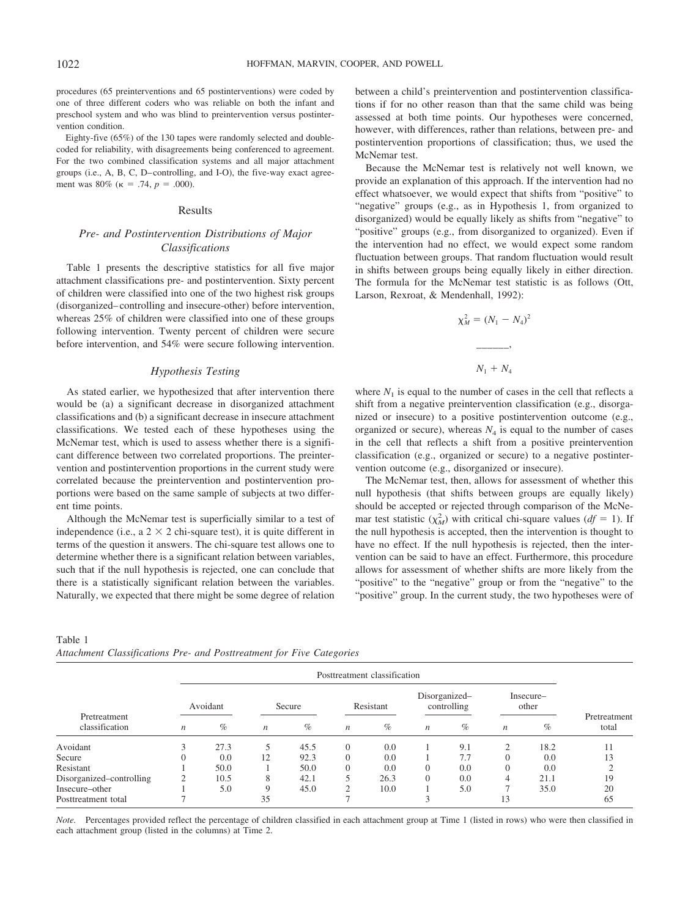procedures (65 preinterventions and 65 postinterventions) were coded by one of three different coders who was reliable on both the infant and preschool system and who was blind to preintervention versus postintervention condition.

Eighty-five (65%) of the 130 tapes were randomly selected and doublecoded for reliability, with disagreements being conferenced to agreement. For the two combined classification systems and all major attachment groups (i.e., A, B, C, D– controlling, and I-O), the five-way exact agreement was 80% ( $\kappa = .74$ ,  $p = .000$ ).

#### Results

# *Pre- and Postintervention Distributions of Major Classifications*

Table 1 presents the descriptive statistics for all five major attachment classifications pre- and postintervention. Sixty percent of children were classified into one of the two highest risk groups (disorganized– controlling and insecure-other) before intervention, whereas 25% of children were classified into one of these groups following intervention. Twenty percent of children were secure before intervention, and 54% were secure following intervention.

#### *Hypothesis Testing*

As stated earlier, we hypothesized that after intervention there would be (a) a significant decrease in disorganized attachment classifications and (b) a significant decrease in insecure attachment classifications. We tested each of these hypotheses using the McNemar test, which is used to assess whether there is a significant difference between two correlated proportions. The preintervention and postintervention proportions in the current study were correlated because the preintervention and postintervention proportions were based on the same sample of subjects at two different time points.

Although the McNemar test is superficially similar to a test of independence (i.e., a  $2 \times 2$  chi-square test), it is quite different in terms of the question it answers. The chi-square test allows one to determine whether there is a significant relation between variables, such that if the null hypothesis is rejected, one can conclude that there is a statistically significant relation between the variables. Naturally, we expected that there might be some degree of relation

Table 1 *Attachment Classifications Pre- and Posttreatment for Five Categories*

between a child's preintervention and postintervention classifications if for no other reason than that the same child was being assessed at both time points. Our hypotheses were concerned, however, with differences, rather than relations, between pre- and postintervention proportions of classification; thus, we used the McNemar test.

Because the McNemar test is relatively not well known, we provide an explanation of this approach. If the intervention had no effect whatsoever, we would expect that shifts from "positive" to "negative" groups (e.g., as in Hypothesis 1, from organized to disorganized) would be equally likely as shifts from "negative" to "positive" groups (e.g., from disorganized to organized). Even if the intervention had no effect, we would expect some random fluctuation between groups. That random fluctuation would result in shifts between groups being equally likely in either direction. The formula for the McNemar test statistic is as follows (Ott, Larson, Rexroat, & Mendenhall, 1992):

$$
\chi_M^2 = (N_1 - N_4)^2
$$
  
 
$$
\longrightarrow
$$
  
 
$$
N_1 + N_4
$$

where  $N_1$  is equal to the number of cases in the cell that reflects a shift from a negative preintervention classification (e.g., disorganized or insecure) to a positive postintervention outcome (e.g., organized or secure), whereas  $N_4$  is equal to the number of cases in the cell that reflects a shift from a positive preintervention classification (e.g., organized or secure) to a negative postintervention outcome (e.g., disorganized or insecure).

The McNemar test, then, allows for assessment of whether this null hypothesis (that shifts between groups are equally likely) should be accepted or rejected through comparison of the McNemar test statistic  $(\chi^2_M)$  with critical chi-square values (*df* = 1). If the null hypothesis is accepted, then the intervention is thought to have no effect. If the null hypothesis is rejected, then the intervention can be said to have an effect. Furthermore, this procedure allows for assessment of whether shifts are more likely from the "positive" to the "negative" group or from the "negative" to the "positive" group. In the current study, the two hypotheses were of

|                                | Posttreatment classification |      |                  |      |                  |      |                              |      |                    |      |                       |
|--------------------------------|------------------------------|------|------------------|------|------------------|------|------------------------------|------|--------------------|------|-----------------------|
| Pretreatment<br>classification | Avoidant                     |      | Secure           |      | Resistant        |      | Disorganized-<br>controlling |      | Insecure-<br>other |      |                       |
|                                | $\boldsymbol{n}$             | $\%$ | $\boldsymbol{n}$ | $\%$ | $\boldsymbol{n}$ | $\%$ | $\boldsymbol{n}$             | $\%$ | $\boldsymbol{n}$   | $\%$ | Pretreatment<br>total |
| Avoidant                       |                              | 27.3 | 5                | 45.5 |                  | 0.0  |                              | 9.1  | ↑                  | 18.2 | 11                    |
| Secure                         | $\Omega$                     | 0.0  | 12               | 92.3 |                  | 0.0  |                              | 7.7  | $\Omega$           | 0.0  | 13                    |
| Resistant                      |                              | 50.0 |                  | 50.0 |                  | 0.0  | 0                            | 0.0  | $\Omega$           | 0.0  |                       |
| Disorganized-controlling       | ◠                            | 10.5 | 8                | 42.1 |                  | 26.3 | $\Omega$                     | 0.0  | 4                  | 21.1 | 19                    |
| Insecure–other                 |                              | 5.0  | Q                | 45.0 |                  | 10.0 |                              | 5.0  | −                  | 35.0 | 20                    |
| Posttreatment total            |                              |      | 35               |      |                  |      |                              |      | 13                 |      | 65                    |

*Note.* Percentages provided reflect the percentage of children classified in each attachment group at Time 1 (listed in rows) who were then classified in each attachment group (listed in the columns) at Time 2.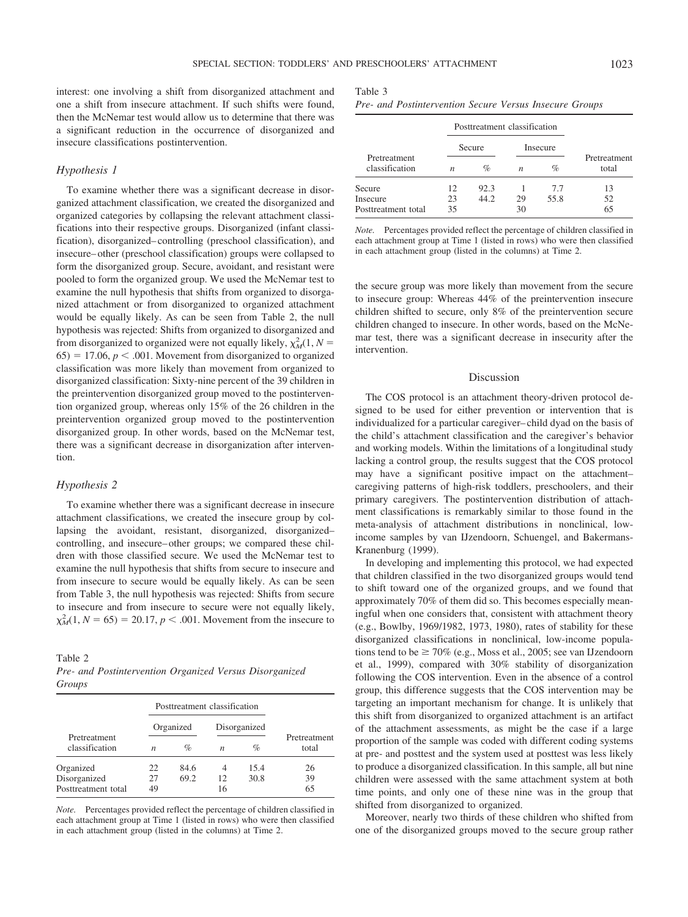interest: one involving a shift from disorganized attachment and one a shift from insecure attachment. If such shifts were found, then the McNemar test would allow us to determine that there was a significant reduction in the occurrence of disorganized and insecure classifications postintervention.

## *Hypothesis 1*

To examine whether there was a significant decrease in disorganized attachment classification, we created the disorganized and organized categories by collapsing the relevant attachment classifications into their respective groups. Disorganized (infant classification), disorganized– controlling (preschool classification), and insecure– other (preschool classification) groups were collapsed to form the disorganized group. Secure, avoidant, and resistant were pooled to form the organized group. We used the McNemar test to examine the null hypothesis that shifts from organized to disorganized attachment or from disorganized to organized attachment would be equally likely. As can be seen from Table 2, the null hypothesis was rejected: Shifts from organized to disorganized and from disorganized to organized were not equally likely,  $\chi^2_M(1, N =$  $65$ ) = 17.06,  $p < .001$ . Movement from disorganized to organized classification was more likely than movement from organized to disorganized classification: Sixty-nine percent of the 39 children in the preintervention disorganized group moved to the postintervention organized group, whereas only 15% of the 26 children in the preintervention organized group moved to the postintervention disorganized group. In other words, based on the McNemar test, there was a significant decrease in disorganization after intervention.

#### *Hypothesis 2*

To examine whether there was a significant decrease in insecure attachment classifications, we created the insecure group by collapsing the avoidant, resistant, disorganized, disorganized– controlling, and insecure– other groups; we compared these children with those classified secure. We used the McNemar test to examine the null hypothesis that shifts from secure to insecure and from insecure to secure would be equally likely. As can be seen from Table 3, the null hypothesis was rejected: Shifts from secure to insecure and from insecure to secure were not equally likely,  $\chi^2_M(1, N = 65) = 20.17, p < .001$ . Movement from the insecure to

## Table 2

|        | Pre- and Postintervention Organized Versus Disorganized |  |  |
|--------|---------------------------------------------------------|--|--|
| Groups |                                                         |  |  |

| Pretreatment<br>classification      |          | Posttreatment classification |          |              |                       |
|-------------------------------------|----------|------------------------------|----------|--------------|-----------------------|
|                                     |          | Organized                    |          | Disorganized | Pretreatment<br>total |
|                                     | n        | %                            | n        | %            |                       |
| Organized                           | 22.      | 84.6                         | 4        | 15.4         | 26                    |
| Disorganized<br>Posttreatment total | 27<br>49 | 69.2                         | 12<br>16 | 30.8         | 39<br>65              |

*Note.* Percentages provided reflect the percentage of children classified in each attachment group at Time 1 (listed in rows) who were then classified in each attachment group (listed in the columns) at Time 2.

| Pre- and Postintervention Secure Versus Insecure Groups |  |
|---------------------------------------------------------|--|
|---------------------------------------------------------|--|

|                                           |                | Posttreatment classification |          |             |                       |
|-------------------------------------------|----------------|------------------------------|----------|-------------|-----------------------|
| Pretreatment<br>classification            |                | Secure                       |          | Insecure    |                       |
|                                           | n              | $\%$                         | n        | %           | Pretreatment<br>total |
| Secure<br>Insecure<br>Posttreatment total | 12<br>23<br>35 | 92.3<br>44.2                 | 29<br>30 | 7.7<br>55.8 | 13<br>52<br>65        |

*Note.* Percentages provided reflect the percentage of children classified in each attachment group at Time 1 (listed in rows) who were then classified in each attachment group (listed in the columns) at Time 2.

the secure group was more likely than movement from the secure to insecure group: Whereas 44% of the preintervention insecure children shifted to secure, only 8% of the preintervention secure children changed to insecure. In other words, based on the McNemar test, there was a significant decrease in insecurity after the intervention.

#### Discussion

The COS protocol is an attachment theory-driven protocol designed to be used for either prevention or intervention that is individualized for a particular caregiver– child dyad on the basis of the child's attachment classification and the caregiver's behavior and working models. Within the limitations of a longitudinal study lacking a control group, the results suggest that the COS protocol may have a significant positive impact on the attachment– caregiving patterns of high-risk toddlers, preschoolers, and their primary caregivers. The postintervention distribution of attachment classifications is remarkably similar to those found in the meta-analysis of attachment distributions in nonclinical, lowincome samples by van IJzendoorn, Schuengel, and Bakermans-Kranenburg (1999).

In developing and implementing this protocol, we had expected that children classified in the two disorganized groups would tend to shift toward one of the organized groups, and we found that approximately 70% of them did so. This becomes especially meaningful when one considers that, consistent with attachment theory (e.g., Bowlby, 1969/1982, 1973, 1980), rates of stability for these disorganized classifications in nonclinical, low-income populations tend to be  $\geq 70\%$  (e.g., Moss et al., 2005; see van IJzendoorn et al., 1999), compared with 30% stability of disorganization following the COS intervention. Even in the absence of a control group, this difference suggests that the COS intervention may be targeting an important mechanism for change. It is unlikely that this shift from disorganized to organized attachment is an artifact of the attachment assessments, as might be the case if a large proportion of the sample was coded with different coding systems at pre- and posttest and the system used at posttest was less likely to produce a disorganized classification. In this sample, all but nine children were assessed with the same attachment system at both time points, and only one of these nine was in the group that shifted from disorganized to organized.

Moreover, nearly two thirds of these children who shifted from one of the disorganized groups moved to the secure group rather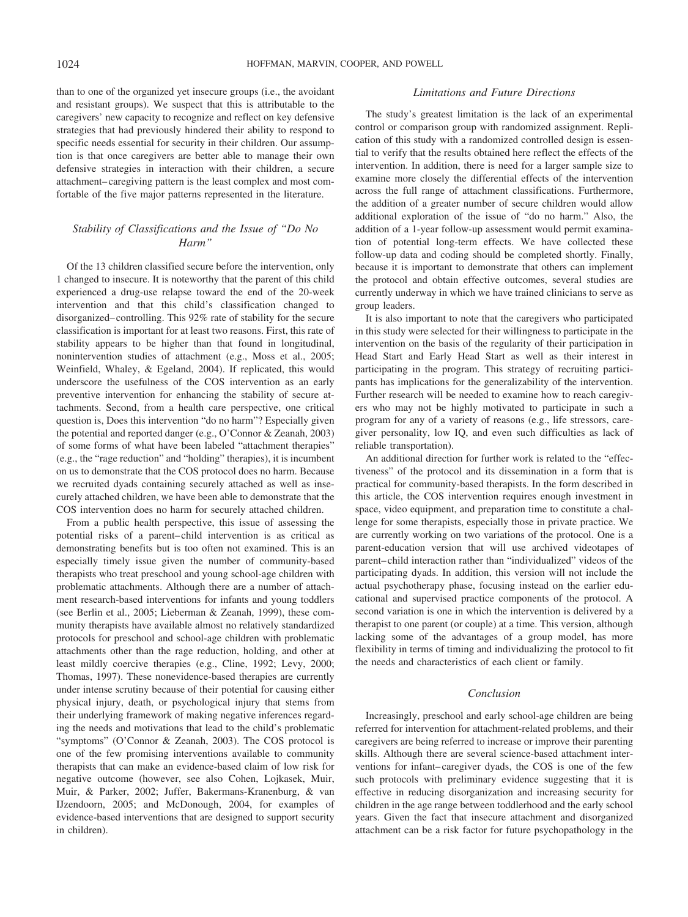than to one of the organized yet insecure groups (i.e., the avoidant and resistant groups). We suspect that this is attributable to the caregivers' new capacity to recognize and reflect on key defensive strategies that had previously hindered their ability to respond to specific needs essential for security in their children. Our assumption is that once caregivers are better able to manage their own defensive strategies in interaction with their children, a secure attachment– caregiving pattern is the least complex and most comfortable of the five major patterns represented in the literature.

# *Stability of Classifications and the Issue of "Do No Harm"*

Of the 13 children classified secure before the intervention, only 1 changed to insecure. It is noteworthy that the parent of this child experienced a drug-use relapse toward the end of the 20-week intervention and that this child's classification changed to disorganized– controlling. This 92% rate of stability for the secure classification is important for at least two reasons. First, this rate of stability appears to be higher than that found in longitudinal, nonintervention studies of attachment (e.g., Moss et al., 2005; Weinfield, Whaley, & Egeland, 2004). If replicated, this would underscore the usefulness of the COS intervention as an early preventive intervention for enhancing the stability of secure attachments. Second, from a health care perspective, one critical question is, Does this intervention "do no harm"? Especially given the potential and reported danger (e.g., O'Connor & Zeanah, 2003) of some forms of what have been labeled "attachment therapies" (e.g., the "rage reduction" and "holding" therapies), it is incumbent on us to demonstrate that the COS protocol does no harm. Because we recruited dyads containing securely attached as well as insecurely attached children, we have been able to demonstrate that the COS intervention does no harm for securely attached children.

From a public health perspective, this issue of assessing the potential risks of a parent– child intervention is as critical as demonstrating benefits but is too often not examined. This is an especially timely issue given the number of community-based therapists who treat preschool and young school-age children with problematic attachments. Although there are a number of attachment research-based interventions for infants and young toddlers (see Berlin et al., 2005; Lieberman & Zeanah, 1999), these community therapists have available almost no relatively standardized protocols for preschool and school-age children with problematic attachments other than the rage reduction, holding, and other at least mildly coercive therapies (e.g., Cline, 1992; Levy, 2000; Thomas, 1997). These nonevidence-based therapies are currently under intense scrutiny because of their potential for causing either physical injury, death, or psychological injury that stems from their underlying framework of making negative inferences regarding the needs and motivations that lead to the child's problematic "symptoms" (O'Connor & Zeanah, 2003). The COS protocol is one of the few promising interventions available to community therapists that can make an evidence-based claim of low risk for negative outcome (however, see also Cohen, Lojkasek, Muir, Muir, & Parker, 2002; Juffer, Bakermans-Kranenburg, & van IJzendoorn, 2005; and McDonough, 2004, for examples of evidence-based interventions that are designed to support security in children).

## *Limitations and Future Directions*

The study's greatest limitation is the lack of an experimental control or comparison group with randomized assignment. Replication of this study with a randomized controlled design is essential to verify that the results obtained here reflect the effects of the intervention. In addition, there is need for a larger sample size to examine more closely the differential effects of the intervention across the full range of attachment classifications. Furthermore, the addition of a greater number of secure children would allow additional exploration of the issue of "do no harm." Also, the addition of a 1-year follow-up assessment would permit examination of potential long-term effects. We have collected these follow-up data and coding should be completed shortly. Finally, because it is important to demonstrate that others can implement the protocol and obtain effective outcomes, several studies are currently underway in which we have trained clinicians to serve as group leaders.

It is also important to note that the caregivers who participated in this study were selected for their willingness to participate in the intervention on the basis of the regularity of their participation in Head Start and Early Head Start as well as their interest in participating in the program. This strategy of recruiting participants has implications for the generalizability of the intervention. Further research will be needed to examine how to reach caregivers who may not be highly motivated to participate in such a program for any of a variety of reasons (e.g., life stressors, caregiver personality, low IQ, and even such difficulties as lack of reliable transportation).

An additional direction for further work is related to the "effectiveness" of the protocol and its dissemination in a form that is practical for community-based therapists. In the form described in this article, the COS intervention requires enough investment in space, video equipment, and preparation time to constitute a challenge for some therapists, especially those in private practice. We are currently working on two variations of the protocol. One is a parent-education version that will use archived videotapes of parent– child interaction rather than "individualized" videos of the participating dyads. In addition, this version will not include the actual psychotherapy phase, focusing instead on the earlier educational and supervised practice components of the protocol. A second variation is one in which the intervention is delivered by a therapist to one parent (or couple) at a time. This version, although lacking some of the advantages of a group model, has more flexibility in terms of timing and individualizing the protocol to fit the needs and characteristics of each client or family.

## *Conclusion*

Increasingly, preschool and early school-age children are being referred for intervention for attachment-related problems, and their caregivers are being referred to increase or improve their parenting skills. Although there are several science-based attachment interventions for infant– caregiver dyads, the COS is one of the few such protocols with preliminary evidence suggesting that it is effective in reducing disorganization and increasing security for children in the age range between toddlerhood and the early school years. Given the fact that insecure attachment and disorganized attachment can be a risk factor for future psychopathology in the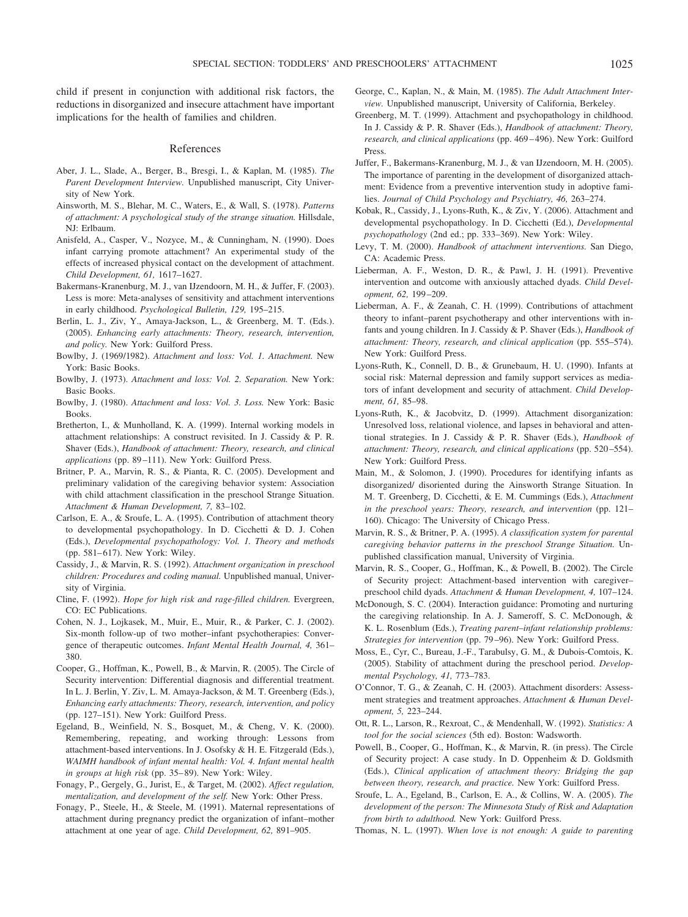child if present in conjunction with additional risk factors, the reductions in disorganized and insecure attachment have important implications for the health of families and children.

#### References

- Aber, J. L., Slade, A., Berger, B., Bresgi, I., & Kaplan, M. (1985). *The Parent Development Interview.* Unpublished manuscript, City University of New York.
- Ainsworth, M. S., Blehar, M. C., Waters, E., & Wall, S. (1978). *Patterns of attachment: A psychological study of the strange situation.* Hillsdale, NJ: Erlbaum.
- Anisfeld, A., Casper, V., Nozyce, M., & Cunningham, N. (1990). Does infant carrying promote attachment? An experimental study of the effects of increased physical contact on the development of attachment. *Child Development, 61,* 1617–1627.
- Bakermans-Kranenburg, M. J., van IJzendoorn, M. H., & Juffer, F. (2003). Less is more: Meta-analyses of sensitivity and attachment interventions in early childhood. *Psychological Bulletin, 129,* 195–215.
- Berlin, L. J., Ziv, Y., Amaya-Jackson, L., & Greenberg, M. T. (Eds.). (2005). *Enhancing early attachments: Theory, research, intervention, and policy.* New York: Guilford Press.
- Bowlby, J. (1969/1982). *Attachment and loss: Vol. 1. Attachment.* New York: Basic Books.
- Bowlby, J. (1973). *Attachment and loss: Vol. 2. Separation.* New York: Basic Books.
- Bowlby, J. (1980). *Attachment and loss: Vol. 3. Loss.* New York: Basic Books.
- Bretherton, I., & Munholland, K. A. (1999). Internal working models in attachment relationships: A construct revisited. In J. Cassidy & P. R. Shaver (Eds.), *Handbook of attachment: Theory, research, and clinical applications* (pp. 89 –111). New York: Guilford Press.
- Britner, P. A., Marvin, R. S., & Pianta, R. C. (2005). Development and preliminary validation of the caregiving behavior system: Association with child attachment classification in the preschool Strange Situation. *Attachment & Human Development, 7,* 83–102.
- Carlson, E. A., & Sroufe, L. A. (1995). Contribution of attachment theory to developmental psychopathology. In D. Cicchetti & D. J. Cohen (Eds.), *Developmental psychopathology: Vol. 1. Theory and methods* (pp. 581–617). New York: Wiley.
- Cassidy, J., & Marvin, R. S. (1992). *Attachment organization in preschool children: Procedures and coding manual.* Unpublished manual, University of Virginia.
- Cline, F. (1992). *Hope for high risk and rage-filled children.* Evergreen, CO: EC Publications.
- Cohen, N. J., Lojkasek, M., Muir, E., Muir, R., & Parker, C. J. (2002). Six-month follow-up of two mother–infant psychotherapies: Convergence of therapeutic outcomes. *Infant Mental Health Journal, 4,* 361– 380.
- Cooper, G., Hoffman, K., Powell, B., & Marvin, R. (2005). The Circle of Security intervention: Differential diagnosis and differential treatment. In L. J. Berlin, Y. Ziv, L. M. Amaya-Jackson, & M. T. Greenberg (Eds.), *Enhancing early attachments: Theory, research, intervention, and policy* (pp. 127–151). New York: Guilford Press.
- Egeland, B., Weinfield, N. S., Bosquet, M., & Cheng, V. K. (2000). Remembering, repeating, and working through: Lessons from attachment-based interventions. In J. Osofsky & H. E. Fitzgerald (Eds.), *WAIMH handbook of infant mental health: Vol. 4. Infant mental health in groups at high risk* (pp. 35– 89). New York: Wiley.
- Fonagy, P., Gergely, G., Jurist, E., & Target, M. (2002). *Affect regulation, mentalization, and development of the self.* New York: Other Press.
- Fonagy, P., Steele, H., & Steele, M. (1991). Maternal representations of attachment during pregnancy predict the organization of infant–mother attachment at one year of age. *Child Development, 62,* 891–905.
- George, C., Kaplan, N., & Main, M. (1985). *The Adult Attachment Interview.* Unpublished manuscript, University of California, Berkeley.
- Greenberg, M. T. (1999). Attachment and psychopathology in childhood. In J. Cassidy & P. R. Shaver (Eds.), *Handbook of attachment: Theory, research, and clinical applications* (pp. 469 – 496). New York: Guilford Press.
- Juffer, F., Bakermans-Kranenburg, M. J., & van IJzendoorn, M. H. (2005). The importance of parenting in the development of disorganized attachment: Evidence from a preventive intervention study in adoptive families. *Journal of Child Psychology and Psychiatry, 46,* 263–274.
- Kobak, R., Cassidy, J., Lyons-Ruth, K., & Ziv, Y. (2006). Attachment and developmental psychopathology. In D. Cicchetti (Ed.), *Developmental psychopathology* (2nd ed.; pp. 333–369). New York: Wiley.
- Levy, T. M. (2000). *Handbook of attachment interventions.* San Diego, CA: Academic Press.
- Lieberman, A. F., Weston, D. R., & Pawl, J. H. (1991). Preventive intervention and outcome with anxiously attached dyads. *Child Development, 62,* 199 –209.
- Lieberman, A. F., & Zeanah, C. H. (1999). Contributions of attachment theory to infant–parent psychotherapy and other interventions with infants and young children. In J. Cassidy & P. Shaver (Eds.), *Handbook of attachment: Theory, research, and clinical application* (pp. 555–574). New York: Guilford Press.
- Lyons-Ruth, K., Connell, D. B., & Grunebaum, H. U. (1990). Infants at social risk: Maternal depression and family support services as mediators of infant development and security of attachment. *Child Development, 61,* 85–98.
- Lyons-Ruth, K., & Jacobvitz, D. (1999). Attachment disorganization: Unresolved loss, relational violence, and lapses in behavioral and attentional strategies. In J. Cassidy & P. R. Shaver (Eds.), *Handbook of attachment: Theory, research, and clinical applications* (pp. 520 –554). New York: Guilford Press.
- Main, M., & Solomon, J. (1990). Procedures for identifying infants as disorganized/ disoriented during the Ainsworth Strange Situation. In M. T. Greenberg, D. Cicchetti, & E. M. Cummings (Eds.), *Attachment in the preschool years: Theory, research, and intervention* (pp. 121– 160). Chicago: The University of Chicago Press.
- Marvin, R. S., & Britner, P. A. (1995). *A classification system for parental caregiving behavior patterns in the preschool Strange Situation.* Unpublished classification manual, University of Virginia.
- Marvin, R. S., Cooper, G., Hoffman, K., & Powell, B. (2002). The Circle of Security project: Attachment-based intervention with caregiver– preschool child dyads. *Attachment & Human Development, 4,* 107–124.
- McDonough, S. C. (2004). Interaction guidance: Promoting and nurturing the caregiving relationship. In A. J. Sameroff, S. C. McDonough, & K. L. Rosenblum (Eds.), *Treating parent–infant relationship problems: Strategies for intervention* (pp. 79 –96). New York: Guilford Press.
- Moss, E., Cyr, C., Bureau, J.-F., Tarabulsy, G. M., & Dubois-Comtois, K. (2005). Stability of attachment during the preschool period. *Developmental Psychology, 41,* 773–783.
- O'Connor, T. G., & Zeanah, C. H. (2003). Attachment disorders: Assessment strategies and treatment approaches. *Attachment & Human Development, 5,* 223–244.
- Ott, R. L., Larson, R., Rexroat, C., & Mendenhall, W. (1992). *Statistics: A tool for the social sciences* (5th ed). Boston: Wadsworth.
- Powell, B., Cooper, G., Hoffman, K., & Marvin, R. (in press). The Circle of Security project: A case study. In D. Oppenheim & D. Goldsmith (Eds.), *Clinical application of attachment theory: Bridging the gap between theory, research, and practice.* New York: Guilford Press.
- Sroufe, L. A., Egeland, B., Carlson, E. A., & Collins, W. A. (2005). *The development of the person: The Minnesota Study of Risk and Adaptation from birth to adulthood.* New York: Guilford Press.
- Thomas, N. L. (1997). *When love is not enough: A guide to parenting*